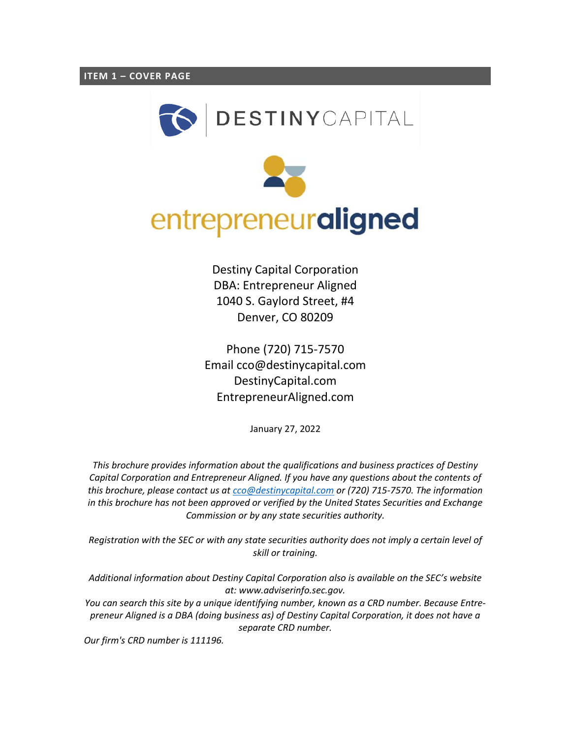<span id="page-0-0"></span>



Destiny Capital Corporation DBA: Entrepreneur Aligned 1040 S. Gaylord Street, #4 Denver, CO 80209

Phone (720) 715-7570 Email cco@destinycapital.com DestinyCapital.com EntrepreneurAligned.com

January 27, 2022

*This brochure provides information about the qualifications and business practices of Destiny Capital Corporation and Entrepreneur Aligned. If you have any questions about the contents of this brochure, please contact us a[t cco@destinycapital.com](mailto:cco@destinycapital.com) or (720) 715-7570. The information in this brochure has not been approved or verified by the United States Securities and Exchange Commission or by any state securities authority.*

*Registration with the SEC or with any state securities authority does not imply a certain level of skill or training.*

*Additional information about Destiny Capital Corporation also is available on the SEC's website at: www.adviserinfo.sec.gov.* 

*You can search this site by a unique identifying number, known as a CRD number. Because Entrepreneur Aligned is a DBA (doing business as) of Destiny Capital Corporation, it does not have a separate CRD number.*

*Our firm's CRD number is 111196.*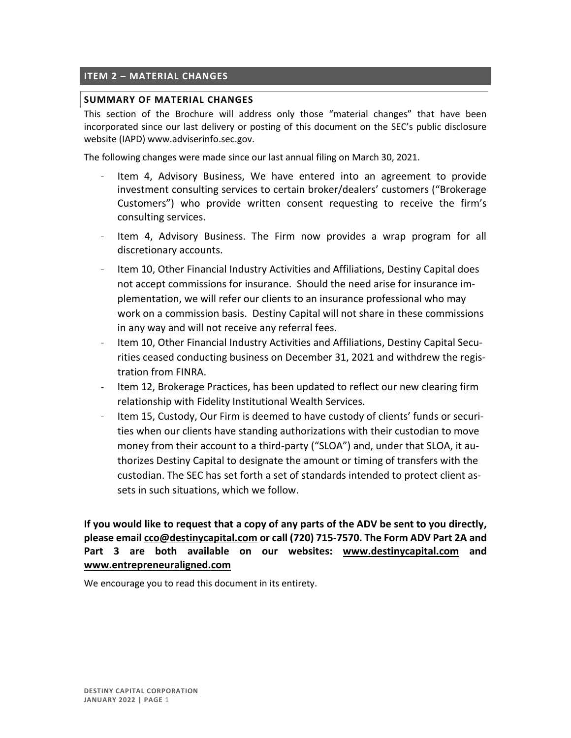## <span id="page-1-0"></span>**ITEM 2 – MATERIAL CHANGES**

#### **SUMMARY OF MATERIAL CHANGES**

This section of the Brochure will address only those "material changes" that have been incorporated since our last delivery or posting of this document on the SEC's public disclosure website (IAPD) www.adviserinfo.sec.gov.

The following changes were made since our last annual filing on March 30, 2021.

- Item 4, Advisory Business, We have entered into an agreement to provide investment consulting services to certain broker/dealers' customers ("Brokerage Customers") who provide written consent requesting to receive the firm's consulting services.
- Item 4, Advisory Business. The Firm now provides a wrap program for all discretionary accounts.
- Item 10, Other Financial Industry Activities and Affiliations, Destiny Capital does not accept commissions for insurance. Should the need arise for insurance implementation, we will refer our clients to an insurance professional who may work on a commission basis. Destiny Capital will not share in these commissions in any way and will not receive any referral fees.
- Item 10, Other Financial Industry Activities and Affiliations, Destiny Capital Securities ceased conducting business on December 31, 2021 and withdrew the registration from FINRA.
- Item 12, Brokerage Practices, has been updated to reflect our new clearing firm relationship with Fidelity Institutional Wealth Services.
- Item 15, Custody, Our Firm is deemed to have custody of clients' funds or securities when our clients have standing authorizations with their custodian to move money from their account to a third-party ("SLOA") and, under that SLOA, it authorizes Destiny Capital to designate the amount or timing of transfers with the custodian. The SEC has set forth a set of standards intended to protect client assets in such situations, which we follow.

**If you would like to request that a copy of any parts of the ADV be sent to you directly, please emai[l cco@destinycapital.com](mailto:cco@destinycapital.com) or call (720) 715-7570. The Form ADV Part 2A and Part 3 are both available on our websites: [www.destinycapital.com](file://///DCC-DC02/Home/Compliance/ADV/2018/www.destinycapital.com) and [www.entrepreneuraligned.com](http://www.entrepreneuraligned.com/)**

We encourage you to read this document in its entirety.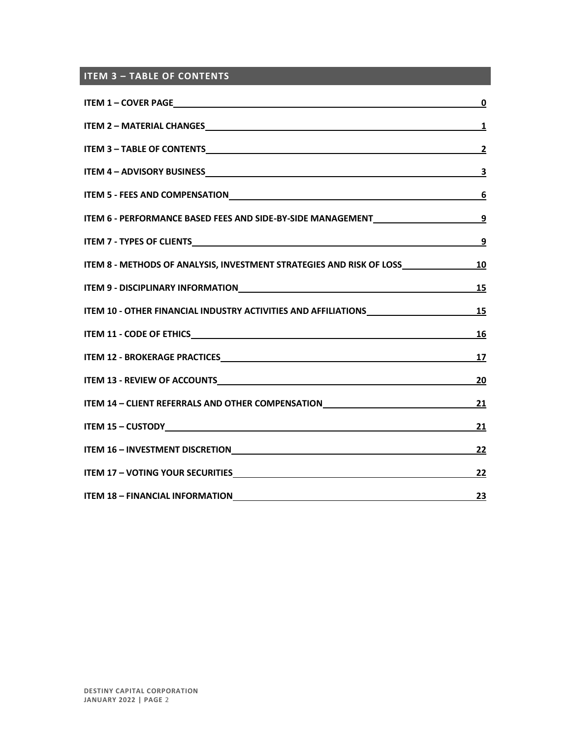# <span id="page-2-0"></span>**ITEM 3 – TABLE OF CONTENTS**

|                                                                                                                | $\pmb{0}$               |
|----------------------------------------------------------------------------------------------------------------|-------------------------|
|                                                                                                                | $\overline{\mathbf{1}}$ |
|                                                                                                                | $\overline{2}$          |
|                                                                                                                | $\overline{\mathbf{3}}$ |
|                                                                                                                | 6                       |
| ITEM 6 - PERFORMANCE BASED FEES AND SIDE-BY-SIDE MANAGEMENT_____________________                               | $\overline{9}$          |
|                                                                                                                | <u>9</u>                |
| ITEM 8 - METHODS OF ANALYSIS, INVESTMENT STRATEGIES AND RISK OF LOSS____________                               | <u>10</u>               |
| ITEM 9 - DISCIPLINARY INFORMATIONNALLY AND ANNOUNCEMENT CONTROL AND THE MANUSCRIP OF A LITEM OF A LITEM OF A L | <u>15</u>               |
| ITEM 10 - OTHER FINANCIAL INDUSTRY ACTIVITIES AND AFFILIATIONS UNDER AND ALL AND ASSESSMENT ASSESSMENT AND A T | 15                      |
|                                                                                                                | 16                      |
|                                                                                                                | 17                      |
|                                                                                                                | <u>20</u>               |
| ITEM 14 - CLIENT REFERRALS AND OTHER COMPENSATION                                                              | <u>21</u>               |
|                                                                                                                | 21                      |
|                                                                                                                | <u>22</u>               |
|                                                                                                                | 22                      |
|                                                                                                                | 23                      |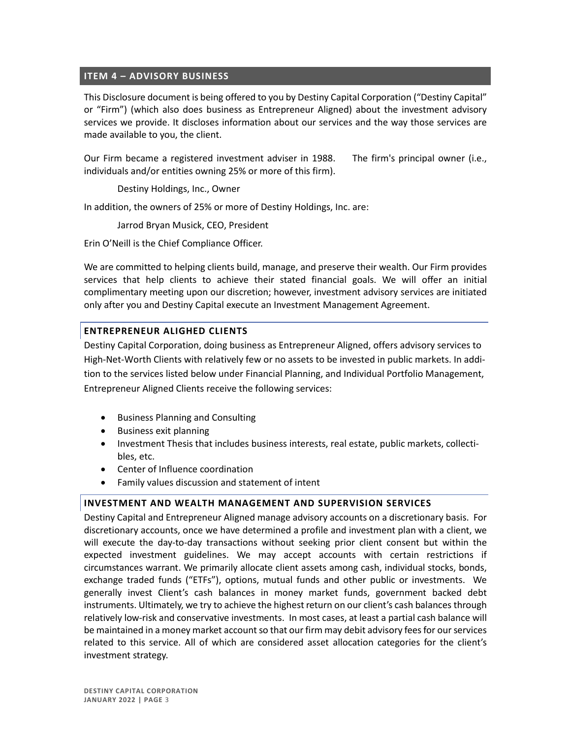### <span id="page-3-0"></span>**ITEM 4 – ADVISORY BUSINESS**

This Disclosure document is being offered to you by Destiny Capital Corporation ("Destiny Capital" or "Firm") (which also does business as Entrepreneur Aligned) about the investment advisory services we provide. It discloses information about our services and the way those services are made available to you, the client.

Our Firm became a registered investment adviser in 1988. The firm's principal owner (i.e., individuals and/or entities owning 25% or more of this firm).

Destiny Holdings, Inc., Owner

In addition, the owners of 25% or more of Destiny Holdings, Inc. are:

Jarrod Bryan Musick, CEO, President

Erin O'Neill is the Chief Compliance Officer.

We are committed to helping clients build, manage, and preserve their wealth. Our Firm provides services that help clients to achieve their stated financial goals. We will offer an initial complimentary meeting upon our discretion; however, investment advisory services are initiated only after you and Destiny Capital execute an Investment Management Agreement.

## **ENTREPRENEUR ALIGHED CLIENTS**

Destiny Capital Corporation, doing business as Entrepreneur Aligned, offers advisory services to High-Net-Worth Clients with relatively few or no assets to be invested in public markets. In addition to the services listed below under Financial Planning, and Individual Portfolio Management, Entrepreneur Aligned Clients receive the following services:

- Business Planning and Consulting
- Business exit planning
- Investment Thesis that includes business interests, real estate, public markets, collectibles, etc.
- Center of Influence coordination
- Family values discussion and statement of intent

#### **INVESTMENT AND WEALTH MANAGEMENT AND SUPERVISION SERVICES**

Destiny Capital and Entrepreneur Aligned manage advisory accounts on a discretionary basis. For discretionary accounts, once we have determined a profile and investment plan with a client, we will execute the day-to-day transactions without seeking prior client consent but within the expected investment guidelines. We may accept accounts with certain restrictions if circumstances warrant. We primarily allocate client assets among cash, individual stocks, bonds, exchange traded funds ("ETFs"), options, mutual funds and other public or investments. We generally invest Client's cash balances in money market funds, government backed debt instruments. Ultimately, we try to achieve the highest return on our client's cash balances through relatively low-risk and conservative investments. In most cases, at least a partial cash balance will be maintained in a money market account so that our firm may debit advisory fees for our services related to this service. All of which are considered asset allocation categories for the client's investment strategy.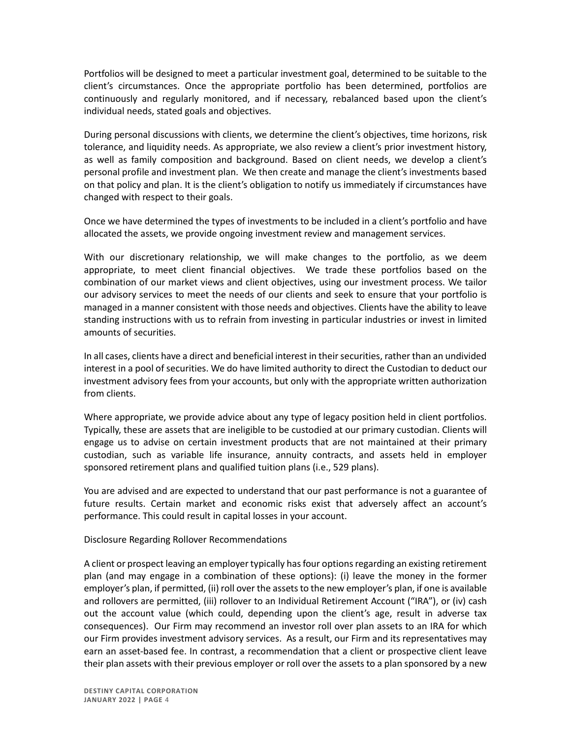Portfolios will be designed to meet a particular investment goal, determined to be suitable to the client's circumstances. Once the appropriate portfolio has been determined, portfolios are continuously and regularly monitored, and if necessary, rebalanced based upon the client's individual needs, stated goals and objectives.

During personal discussions with clients, we determine the client's objectives, time horizons, risk tolerance, and liquidity needs. As appropriate, we also review a client's prior investment history, as well as family composition and background. Based on client needs, we develop a client's personal profile and investment plan. We then create and manage the client's investments based on that policy and plan. It is the client's obligation to notify us immediately if circumstances have changed with respect to their goals.

Once we have determined the types of investments to be included in a client's portfolio and have allocated the assets, we provide ongoing investment review and management services.

With our discretionary relationship, we will make changes to the portfolio, as we deem appropriate, to meet client financial objectives. We trade these portfolios based on the combination of our market views and client objectives, using our investment process. We tailor our advisory services to meet the needs of our clients and seek to ensure that your portfolio is managed in a manner consistent with those needs and objectives. Clients have the ability to leave standing instructions with us to refrain from investing in particular industries or invest in limited amounts of securities.

In all cases, clients have a direct and beneficial interest in their securities, rather than an undivided interest in a pool of securities. We do have limited authority to direct the Custodian to deduct our investment advisory fees from your accounts, but only with the appropriate written authorization from clients.

Where appropriate, we provide advice about any type of legacy position held in client portfolios. Typically, these are assets that are ineligible to be custodied at our primary custodian. Clients will engage us to advise on certain investment products that are not maintained at their primary custodian, such as variable life insurance, annuity contracts, and assets held in employer sponsored retirement plans and qualified tuition plans (i.e., 529 plans).

You are advised and are expected to understand that our past performance is not a guarantee of future results. Certain market and economic risks exist that adversely affect an account's performance. This could result in capital losses in your account.

Disclosure Regarding Rollover Recommendations

A client or prospect leaving an employer typically has four options regarding an existing retirement plan (and may engage in a combination of these options): (i) leave the money in the former employer's plan, if permitted, (ii) roll over the assets to the new employer's plan, if one is available and rollovers are permitted, (iii) rollover to an Individual Retirement Account ("IRA"), or (iv) cash out the account value (which could, depending upon the client's age, result in adverse tax consequences). Our Firm may recommend an investor roll over plan assets to an IRA for which our Firm provides investment advisory services. As a result, our Firm and its representatives may earn an asset-based fee. In contrast, a recommendation that a client or prospective client leave their plan assets with their previous employer or roll over the assets to a plan sponsored by a new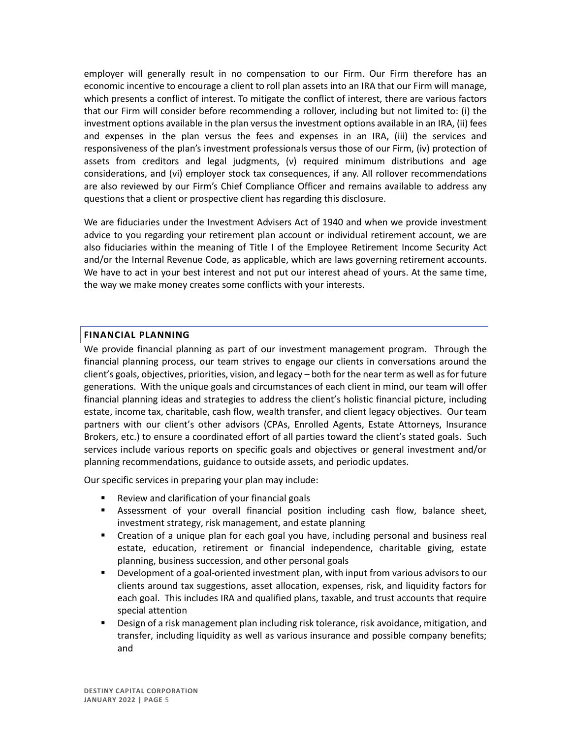employer will generally result in no compensation to our Firm. Our Firm therefore has an economic incentive to encourage a client to roll plan assets into an IRA that our Firm will manage, which presents a conflict of interest. To mitigate the conflict of interest, there are various factors that our Firm will consider before recommending a rollover, including but not limited to: (i) the investment options available in the plan versus the investment options available in an IRA, (ii) fees and expenses in the plan versus the fees and expenses in an IRA, (iii) the services and responsiveness of the plan's investment professionals versus those of our Firm, (iv) protection of assets from creditors and legal judgments, (v) required minimum distributions and age considerations, and (vi) employer stock tax consequences, if any. All rollover recommendations are also reviewed by our Firm's Chief Compliance Officer and remains available to address any questions that a client or prospective client has regarding this disclosure.

We are fiduciaries under the Investment Advisers Act of 1940 and when we provide investment advice to you regarding your retirement plan account or individual retirement account, we are also fiduciaries within the meaning of Title I of the Employee Retirement Income Security Act and/or the Internal Revenue Code, as applicable, which are laws governing retirement accounts. We have to act in your best interest and not put our interest ahead of yours. At the same time, the way we make money creates some conflicts with your interests.

#### **FINANCIAL PLANNING**

We provide financial planning as part of our investment management program. Through the financial planning process, our team strives to engage our clients in conversations around the client's goals, objectives, priorities, vision, and legacy – both for the near term as well as for future generations. With the unique goals and circumstances of each client in mind, our team will offer financial planning ideas and strategies to address the client's holistic financial picture, including estate, income tax, charitable, cash flow, wealth transfer, and client legacy objectives. Our team partners with our client's other advisors (CPAs, Enrolled Agents, Estate Attorneys, Insurance Brokers, etc.) to ensure a coordinated effort of all parties toward the client's stated goals. Such services include various reports on specific goals and objectives or general investment and/or planning recommendations, guidance to outside assets, and periodic updates.

Our specific services in preparing your plan may include:

- Review and clarification of your financial goals
- **EXEL** Assessment of your overall financial position including cash flow, balance sheet, investment strategy, risk management, and estate planning
- **•** Creation of a unique plan for each goal you have, including personal and business real estate, education, retirement or financial independence, charitable giving, estate planning, business succession, and other personal goals
- **EXE** Development of a goal-oriented investment plan, with input from various advisors to our clients around tax suggestions, asset allocation, expenses, risk, and liquidity factors for each goal. This includes IRA and qualified plans, taxable, and trust accounts that require special attention
- Design of a risk management plan including risk tolerance, risk avoidance, mitigation, and transfer, including liquidity as well as various insurance and possible company benefits; and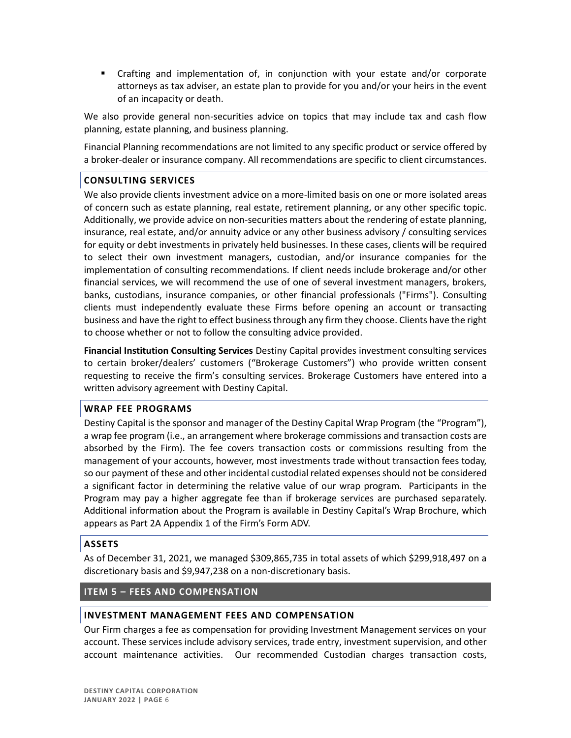▪ Crafting and implementation of, in conjunction with your estate and/or corporate attorneys as tax adviser, an estate plan to provide for you and/or your heirs in the event of an incapacity or death.

We also provide general non-securities advice on topics that may include tax and cash flow planning, estate planning, and business planning.

Financial Planning recommendations are not limited to any specific product or service offered by a broker-dealer or insurance company. All recommendations are specific to client circumstances.

### **CONSULTING SERVICES**

We also provide clients investment advice on a more-limited basis on one or more isolated areas of concern such as estate planning, real estate, retirement planning, or any other specific topic. Additionally, we provide advice on non-securities matters about the rendering of estate planning, insurance, real estate, and/or annuity advice or any other business advisory / consulting services for equity or debt investments in privately held businesses. In these cases, clients will be required to select their own investment managers, custodian, and/or insurance companies for the implementation of consulting recommendations. If client needs include brokerage and/or other financial services, we will recommend the use of one of several investment managers, brokers, banks, custodians, insurance companies, or other financial professionals ("Firms"). Consulting clients must independently evaluate these Firms before opening an account or transacting business and have the right to effect business through any firm they choose. Clients have the right to choose whether or not to follow the consulting advice provided.

**Financial Institution Consulting Services** Destiny Capital provides investment consulting services to certain broker/dealers' customers ("Brokerage Customers") who provide written consent requesting to receive the firm's consulting services. Brokerage Customers have entered into a written advisory agreement with Destiny Capital.

### **WRAP FEE PROGRAMS**

Destiny Capital is the sponsor and manager of the Destiny Capital Wrap Program (the "Program"), a wrap fee program (i.e., an arrangement where brokerage commissions and transaction costs are absorbed by the Firm). The fee covers transaction costs or commissions resulting from the management of your accounts, however, most investments trade without transaction fees today, so our payment of these and other incidental custodial related expenses should not be considered a significant factor in determining the relative value of our wrap program. Participants in the Program may pay a higher aggregate fee than if brokerage services are purchased separately. Additional information about the Program is available in Destiny Capital's Wrap Brochure, which appears as Part 2A Appendix 1 of the Firm's Form ADV.

### **ASSETS**

As of December 31, 2021, we managed \$309,865,735 in total assets of which \$299,918,497 on a discretionary basis and \$9,947,238 on a non-discretionary basis.

### <span id="page-6-0"></span>**ITEM 5 – FEES AND COMPENSATION**

### **INVESTMENT MANAGEMENT FEES AND COMPENSATION**

Our Firm charges a fee as compensation for providing Investment Management services on your account. These services include advisory services, trade entry, investment supervision, and other account maintenance activities. Our recommended Custodian charges transaction costs,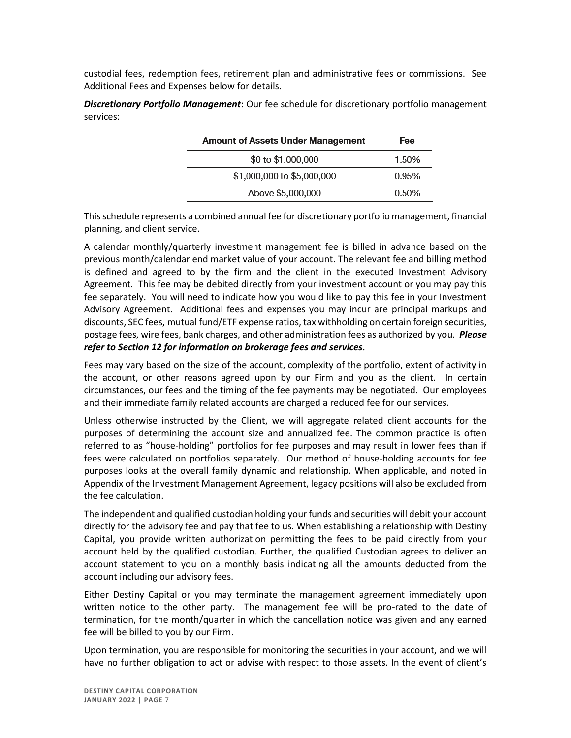custodial fees, redemption fees, retirement plan and administrative fees or commissions. See Additional Fees and Expenses below for details.

*Discretionary Portfolio Management*: Our fee schedule for discretionary portfolio management services:

| <b>Amount of Assets Under Management</b> | Fee   |
|------------------------------------------|-------|
| \$0 to \$1,000,000                       | 1.50% |
| \$1,000,000 to \$5,000,000               | 0.95% |
| Above \$5,000,000                        | 0.50% |

This schedule represents a combined annual fee for discretionary portfolio management, financial planning, and client service.

A calendar monthly/quarterly investment management fee is billed in advance based on the previous month/calendar end market value of your account. The relevant fee and billing method is defined and agreed to by the firm and the client in the executed Investment Advisory Agreement. This fee may be debited directly from your investment account or you may pay this fee separately. You will need to indicate how you would like to pay this fee in your Investment Advisory Agreement. Additional fees and expenses you may incur are principal markups and discounts, SEC fees, mutual fund/ETF expense ratios, tax withholding on certain foreign securities, postage fees, wire fees, bank charges, and other administration fees as authorized by you. *Please refer to Section 12 for information on brokerage fees and services.* 

Fees may vary based on the size of the account, complexity of the portfolio, extent of activity in the account, or other reasons agreed upon by our Firm and you as the client. In certain circumstances, our fees and the timing of the fee payments may be negotiated. Our employees and their immediate family related accounts are charged a reduced fee for our services.

Unless otherwise instructed by the Client, we will aggregate related client accounts for the purposes of determining the account size and annualized fee. The common practice is often referred to as "house-holding" portfolios for fee purposes and may result in lower fees than if fees were calculated on portfolios separately. Our method of house-holding accounts for fee purposes looks at the overall family dynamic and relationship. When applicable, and noted in Appendix of the Investment Management Agreement, legacy positions will also be excluded from the fee calculation.

The independent and qualified custodian holding your funds and securities will debit your account directly for the advisory fee and pay that fee to us. When establishing a relationship with Destiny Capital, you provide written authorization permitting the fees to be paid directly from your account held by the qualified custodian. Further, the qualified Custodian agrees to deliver an account statement to you on a monthly basis indicating all the amounts deducted from the account including our advisory fees.

Either Destiny Capital or you may terminate the management agreement immediately upon written notice to the other party. The management fee will be pro-rated to the date of termination, for the month/quarter in which the cancellation notice was given and any earned fee will be billed to you by our Firm.

Upon termination, you are responsible for monitoring the securities in your account, and we will have no further obligation to act or advise with respect to those assets. In the event of client's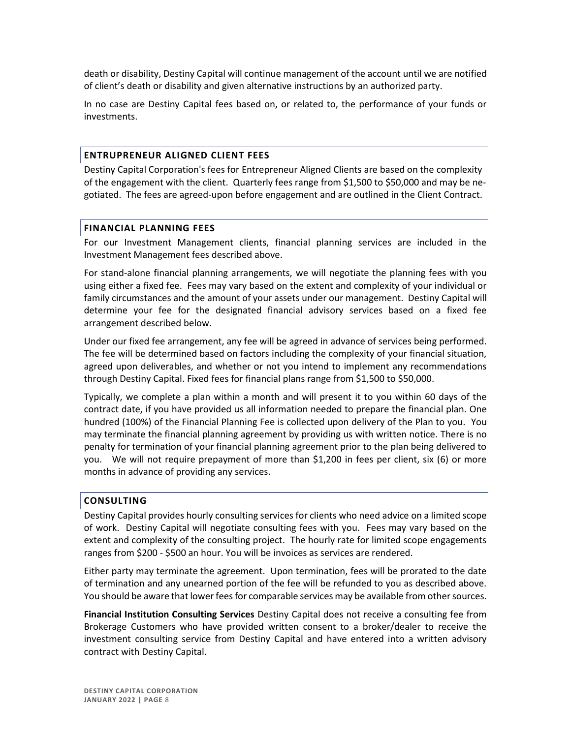death or disability, Destiny Capital will continue management of the account until we are notified of client's death or disability and given alternative instructions by an authorized party.

In no case are Destiny Capital fees based on, or related to, the performance of your funds or investments.

#### **ENTRUPRENEUR ALIGNED CLIENT FEES**

Destiny Capital Corporation's fees for Entrepreneur Aligned Clients are based on the complexity of the engagement with the client. Quarterly fees range from \$1,500 to \$50,000 and may be negotiated. The fees are agreed-upon before engagement and are outlined in the Client Contract.

#### **FINANCIAL PLANNING FEES**

For our Investment Management clients, financial planning services are included in the Investment Management fees described above.

For stand-alone financial planning arrangements, we will negotiate the planning fees with you using either a fixed fee. Fees may vary based on the extent and complexity of your individual or family circumstances and the amount of your assets under our management. Destiny Capital will determine your fee for the designated financial advisory services based on a fixed fee arrangement described below.

Under our fixed fee arrangement, any fee will be agreed in advance of services being performed. The fee will be determined based on factors including the complexity of your financial situation, agreed upon deliverables, and whether or not you intend to implement any recommendations through Destiny Capital. Fixed fees for financial plans range from \$1,500 to \$50,000.

Typically, we complete a plan within a month and will present it to you within 60 days of the contract date, if you have provided us all information needed to prepare the financial plan. One hundred (100%) of the Financial Planning Fee is collected upon delivery of the Plan to you. You may terminate the financial planning agreement by providing us with written notice. There is no penalty for termination of your financial planning agreement prior to the plan being delivered to you. We will not require prepayment of more than \$1,200 in fees per client, six (6) or more months in advance of providing any services.

#### **CONSULTING**

Destiny Capital provides hourly consulting services for clients who need advice on a limited scope of work. Destiny Capital will negotiate consulting fees with you. Fees may vary based on the extent and complexity of the consulting project. The hourly rate for limited scope engagements ranges from \$200 - \$500 an hour. You will be invoices as services are rendered.

Either party may terminate the agreement. Upon termination, fees will be prorated to the date of termination and any unearned portion of the fee will be refunded to you as described above. You should be aware that lower fees for comparable services may be available from other sources.

**Financial Institution Consulting Services** Destiny Capital does not receive a consulting fee from Brokerage Customers who have provided written consent to a broker/dealer to receive the investment consulting service from Destiny Capital and have entered into a written advisory contract with Destiny Capital.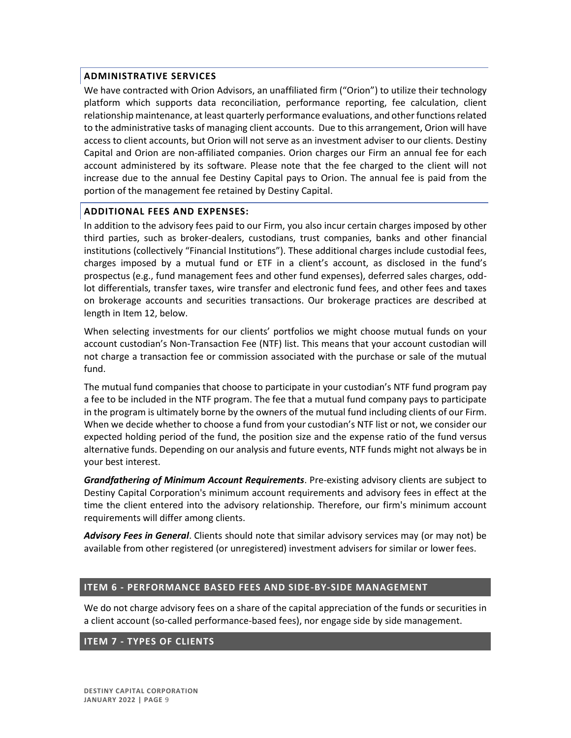### **ADMINISTRATIVE SERVICES**

We have contracted with Orion Advisors, an unaffiliated firm ("Orion") to utilize their technology platform which supports data reconciliation, performance reporting, fee calculation, client relationship maintenance, at least quarterly performance evaluations, and other functions related to the administrative tasks of managing client accounts. Due to this arrangement, Orion will have access to client accounts, but Orion will not serve as an investment adviser to our clients. Destiny Capital and Orion are non-affiliated companies. Orion charges our Firm an annual fee for each account administered by its software. Please note that the fee charged to the client will not increase due to the annual fee Destiny Capital pays to Orion. The annual fee is paid from the portion of the management fee retained by Destiny Capital.

### **ADDITIONAL FEES AND EXPENSES:**

In addition to the advisory fees paid to our Firm, you also incur certain charges imposed by other third parties, such as broker-dealers, custodians, trust companies, banks and other financial institutions (collectively "Financial Institutions"). These additional charges include custodial fees, charges imposed by a mutual fund or ETF in a client's account, as disclosed in the fund's prospectus (e.g., fund management fees and other fund expenses), deferred sales charges, oddlot differentials, transfer taxes, wire transfer and electronic fund fees, and other fees and taxes on brokerage accounts and securities transactions. Our brokerage practices are described at length in Item 12, below.

When selecting investments for our clients' portfolios we might choose mutual funds on your account custodian's Non-Transaction Fee (NTF) list. This means that your account custodian will not charge a transaction fee or commission associated with the purchase or sale of the mutual fund.

The mutual fund companies that choose to participate in your custodian's NTF fund program pay a fee to be included in the NTF program. The fee that a mutual fund company pays to participate in the program is ultimately borne by the owners of the mutual fund including clients of our Firm. When we decide whether to choose a fund from your custodian's NTF list or not, we consider our expected holding period of the fund, the position size and the expense ratio of the fund versus alternative funds. Depending on our analysis and future events, NTF funds might not always be in your best interest.

*Grandfathering of Minimum Account Requirements*. Pre-existing advisory clients are subject to Destiny Capital Corporation's minimum account requirements and advisory fees in effect at the time the client entered into the advisory relationship. Therefore, our firm's minimum account requirements will differ among clients.

*Advisory Fees in General*. Clients should note that similar advisory services may (or may not) be available from other registered (or unregistered) investment advisers for similar or lower fees.

## <span id="page-9-0"></span>**ITEM 6 - PERFORMANCE BASED FEES AND SIDE-BY-SIDE MANAGEMENT**

We do not charge advisory fees on a share of the capital appreciation of the funds or securities in a client account (so-called performance-based fees), nor engage side by side management.

### <span id="page-9-1"></span>**ITEM 7 - TYPES OF CLIENTS**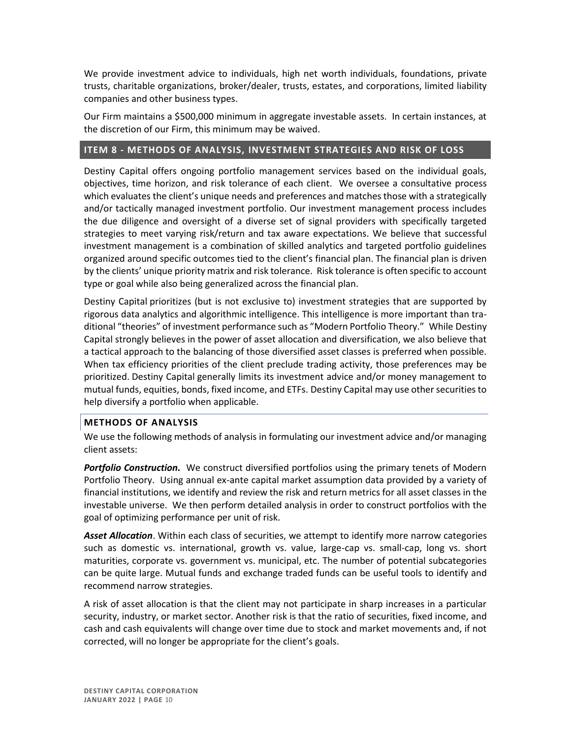We provide investment advice to individuals, high net worth individuals, foundations, private trusts, charitable organizations, broker/dealer, trusts, estates, and corporations, limited liability companies and other business types.

Our Firm maintains a \$500,000 minimum in aggregate investable assets. In certain instances, at the discretion of our Firm, this minimum may be waived.

## <span id="page-10-0"></span>**ITEM 8 - METHODS OF ANALYSIS, INVESTMENT STRATEGIES AND RISK OF LOSS**

Destiny Capital offers ongoing portfolio management services based on the individual goals, objectives, time horizon, and risk tolerance of each client. We oversee a consultative process which evaluates the client's unique needs and preferences and matches those with a strategically and/or tactically managed investment portfolio. Our investment management process includes the due diligence and oversight of a diverse set of signal providers with specifically targeted strategies to meet varying risk/return and tax aware expectations. We believe that successful investment management is a combination of skilled analytics and targeted portfolio guidelines organized around specific outcomes tied to the client's financial plan. The financial plan is driven by the clients' unique priority matrix and risk tolerance. Risk tolerance is often specific to account type or goal while also being generalized across the financial plan.

Destiny Capital prioritizes (but is not exclusive to) investment strategies that are supported by rigorous data analytics and algorithmic intelligence. This intelligence is more important than traditional "theories" of investment performance such as "Modern Portfolio Theory." While Destiny Capital strongly believes in the power of asset allocation and diversification, we also believe that a tactical approach to the balancing of those diversified asset classes is preferred when possible. When tax efficiency priorities of the client preclude trading activity, those preferences may be prioritized. Destiny Capital generally limits its investment advice and/or money management to mutual funds, equities, bonds, fixed income, and ETFs. Destiny Capital may use other securities to help diversify a portfolio when applicable.

## **METHODS OF ANALYSIS**

We use the following methods of analysis in formulating our investment advice and/or managing client assets:

*Portfolio Construction.* We construct diversified portfolios using the primary tenets of Modern Portfolio Theory. Using annual ex-ante capital market assumption data provided by a variety of financial institutions, we identify and review the risk and return metrics for all asset classes in the investable universe. We then perform detailed analysis in order to construct portfolios with the goal of optimizing performance per unit of risk.

*Asset Allocation*. Within each class of securities, we attempt to identify more narrow categories such as domestic vs. international, growth vs. value, large-cap vs. small-cap, long vs. short maturities, corporate vs. government vs. municipal, etc. The number of potential subcategories can be quite large. Mutual funds and exchange traded funds can be useful tools to identify and recommend narrow strategies.

A risk of asset allocation is that the client may not participate in sharp increases in a particular security, industry, or market sector. Another risk is that the ratio of securities, fixed income, and cash and cash equivalents will change over time due to stock and market movements and, if not corrected, will no longer be appropriate for the client's goals.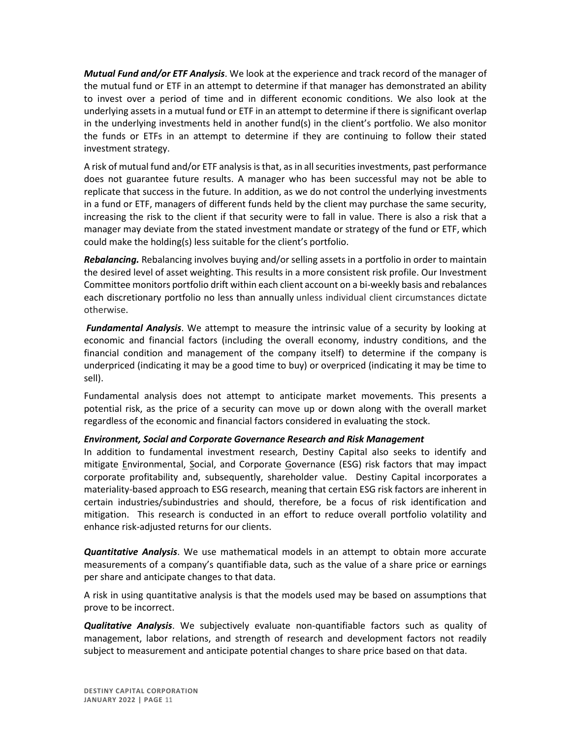*Mutual Fund and/or ETF Analysis*. We look at the experience and track record of the manager of the mutual fund or ETF in an attempt to determine if that manager has demonstrated an ability to invest over a period of time and in different economic conditions. We also look at the underlying assets in a mutual fund or ETF in an attempt to determine if there is significant overlap in the underlying investments held in another fund(s) in the client's portfolio. We also monitor the funds or ETFs in an attempt to determine if they are continuing to follow their stated investment strategy.

A risk of mutual fund and/or ETF analysis is that, as in all securities investments, past performance does not guarantee future results. A manager who has been successful may not be able to replicate that success in the future. In addition, as we do not control the underlying investments in a fund or ETF, managers of different funds held by the client may purchase the same security, increasing the risk to the client if that security were to fall in value. There is also a risk that a manager may deviate from the stated investment mandate or strategy of the fund or ETF, which could make the holding(s) less suitable for the client's portfolio.

*Rebalancing.* Rebalancing involves buying and/or selling assets in a portfolio in order to maintain the desired level of asset weighting. This results in a more consistent risk profile. Our Investment Committee monitors portfolio drift within each client account on a bi-weekly basis and rebalances each discretionary portfolio no less than annually unless individual client circumstances dictate otherwise.

*Fundamental Analysis*. We attempt to measure the intrinsic value of a security by looking at economic and financial factors (including the overall economy, industry conditions, and the financial condition and management of the company itself) to determine if the company is underpriced (indicating it may be a good time to buy) or overpriced (indicating it may be time to sell).

Fundamental analysis does not attempt to anticipate market movements. This presents a potential risk, as the price of a security can move up or down along with the overall market regardless of the economic and financial factors considered in evaluating the stock.

### *Environment, Social and Corporate Governance Research and Risk Management*

In addition to fundamental investment research, Destiny Capital also seeks to identify and mitigate Environmental, Social, and Corporate Governance (ESG) risk factors that may impact corporate profitability and, subsequently, shareholder value. Destiny Capital incorporates a materiality-based approach to ESG research, meaning that certain ESG risk factors are inherent in certain industries/subindustries and should, therefore, be a focus of risk identification and mitigation. This research is conducted in an effort to reduce overall portfolio volatility and enhance risk-adjusted returns for our clients.

*Quantitative Analysis*. We use mathematical models in an attempt to obtain more accurate measurements of a company's quantifiable data, such as the value of a share price or earnings per share and anticipate changes to that data.

A risk in using quantitative analysis is that the models used may be based on assumptions that prove to be incorrect.

*Qualitative Analysis*. We subjectively evaluate non-quantifiable factors such as quality of management, labor relations, and strength of research and development factors not readily subject to measurement and anticipate potential changes to share price based on that data.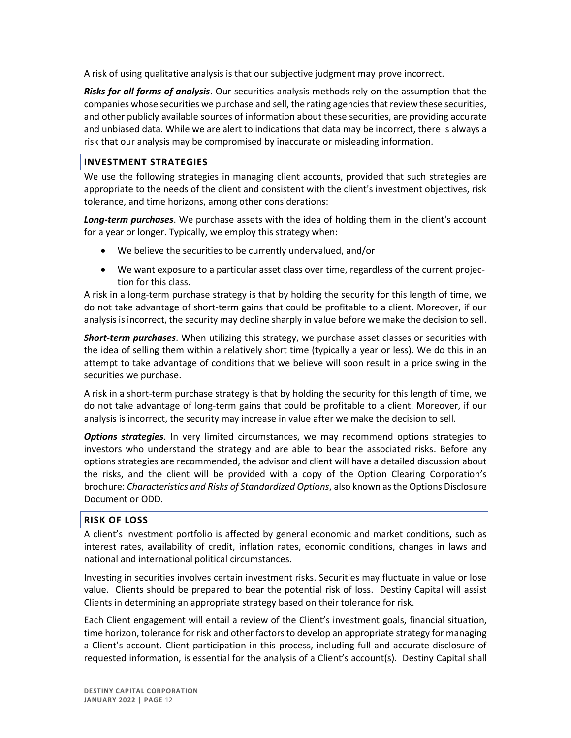A risk of using qualitative analysis is that our subjective judgment may prove incorrect.

*Risks for all forms of analysis*. Our securities analysis methods rely on the assumption that the companies whose securities we purchase and sell, the rating agencies that review these securities, and other publicly available sources of information about these securities, are providing accurate and unbiased data. While we are alert to indications that data may be incorrect, there is always a risk that our analysis may be compromised by inaccurate or misleading information.

#### **INVESTMENT STRATEGIES**

We use the following strategies in managing client accounts, provided that such strategies are appropriate to the needs of the client and consistent with the client's investment objectives, risk tolerance, and time horizons, among other considerations:

*Long-term purchases*. We purchase assets with the idea of holding them in the client's account for a year or longer. Typically, we employ this strategy when:

- We believe the securities to be currently undervalued, and/or
- We want exposure to a particular asset class over time, regardless of the current projection for this class.

A risk in a long-term purchase strategy is that by holding the security for this length of time, we do not take advantage of short-term gains that could be profitable to a client. Moreover, if our analysis isincorrect, the security may decline sharply in value before we make the decision to sell.

*Short-term purchases*. When utilizing this strategy, we purchase asset classes or securities with the idea of selling them within a relatively short time (typically a year or less). We do this in an attempt to take advantage of conditions that we believe will soon result in a price swing in the securities we purchase.

A risk in a short-term purchase strategy is that by holding the security for this length of time, we do not take advantage of long-term gains that could be profitable to a client. Moreover, if our analysis is incorrect, the security may increase in value after we make the decision to sell.

*Options strategies*. In very limited circumstances, we may recommend options strategies to investors who understand the strategy and are able to bear the associated risks. Before any options strategies are recommended, the advisor and client will have a detailed discussion about the risks, and the client will be provided with a copy of the Option Clearing Corporation's brochure: *Characteristics and Risks of Standardized Options*, also known as the Options Disclosure Document or ODD.

### **RISK OF LOSS**

A client's investment portfolio is affected by general economic and market conditions, such as interest rates, availability of credit, inflation rates, economic conditions, changes in laws and national and international political circumstances.

Investing in securities involves certain investment risks. Securities may fluctuate in value or lose value. Clients should be prepared to bear the potential risk of loss. Destiny Capital will assist Clients in determining an appropriate strategy based on their tolerance for risk.

Each Client engagement will entail a review of the Client's investment goals, financial situation, time horizon, tolerance for risk and other factors to develop an appropriate strategy for managing a Client's account. Client participation in this process, including full and accurate disclosure of requested information, is essential for the analysis of a Client's account(s). Destiny Capital shall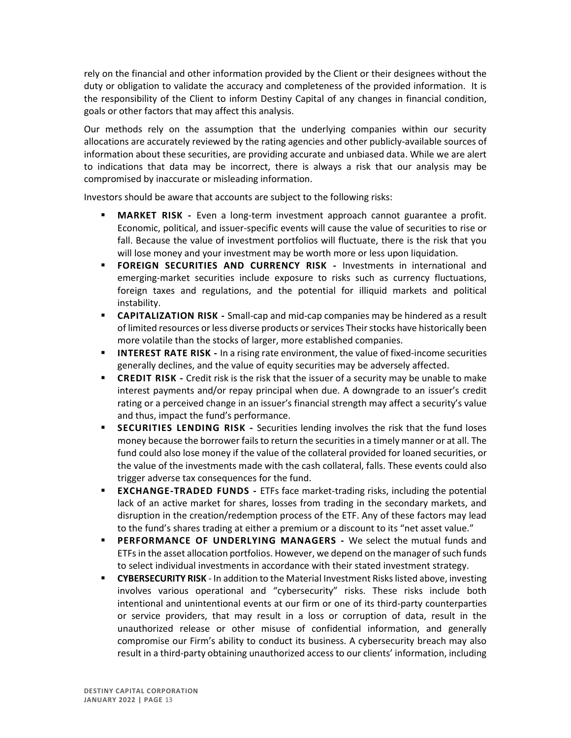rely on the financial and other information provided by the Client or their designees without the duty or obligation to validate the accuracy and completeness of the provided information. It is the responsibility of the Client to inform Destiny Capital of any changes in financial condition, goals or other factors that may affect this analysis.

Our methods rely on the assumption that the underlying companies within our security allocations are accurately reviewed by the rating agencies and other publicly-available sources of information about these securities, are providing accurate and unbiased data. While we are alert to indications that data may be incorrect, there is always a risk that our analysis may be compromised by inaccurate or misleading information.

Investors should be aware that accounts are subject to the following risks:

- **MARKET RISK -** Even a long-term investment approach cannot guarantee a profit. Economic, political, and issuer-specific events will cause the value of securities to rise or fall. Because the value of investment portfolios will fluctuate, there is the risk that you will lose money and your investment may be worth more or less upon liquidation.
- **FOREIGN SECURITIES AND CURRENCY RISK -** Investments in international and emerging-market securities include exposure to risks such as currency fluctuations, foreign taxes and regulations, and the potential for illiquid markets and political instability.
- **EXPITALIZATION RISK -** Small-cap and mid-cap companies may be hindered as a result of limited resources or less diverse products or services Their stocks have historically been more volatile than the stocks of larger, more established companies.
- **INTEREST RATE RISK** In a rising rate environment, the value of fixed-income securities generally declines, and the value of equity securities may be adversely affected.
- **EXECT ALCE TRISK** Credit risk is the risk that the issuer of a security may be unable to make interest payments and/or repay principal when due. A downgrade to an issuer's credit rating or a perceived change in an issuer's financial strength may affect a security's value and thus, impact the fund's performance.
- **SECURITIES LENDING RISK -** Securities lending involves the risk that the fund loses money because the borrower fails to return the securities in a timely manner or at all. The fund could also lose money if the value of the collateral provided for loaned securities, or the value of the investments made with the cash collateral, falls. These events could also trigger adverse tax consequences for the fund.
- **EXCHANGE-TRADED FUNDS -** ETFs face market-trading risks, including the potential lack of an active market for shares, losses from trading in the secondary markets, and disruption in the creation/redemption process of the ETF. Any of these factors may lead to the fund's shares trading at either a premium or a discount to its "net asset value."
- **EXECUARE IS PERFORMANCE OF UNDERLYING MANAGERS -** We select the mutual funds and ETFs in the asset allocation portfolios. However, we depend on the manager of such funds to select individual investments in accordance with their stated investment strategy.
- **EXECURITY RISK** In addition to the Material Investment Risks listed above, investing involves various operational and "cybersecurity" risks. These risks include both intentional and unintentional events at our firm or one of its third-party counterparties or service providers, that may result in a loss or corruption of data, result in the unauthorized release or other misuse of confidential information, and generally compromise our Firm's ability to conduct its business. A cybersecurity breach may also result in a third-party obtaining unauthorized access to our clients' information, including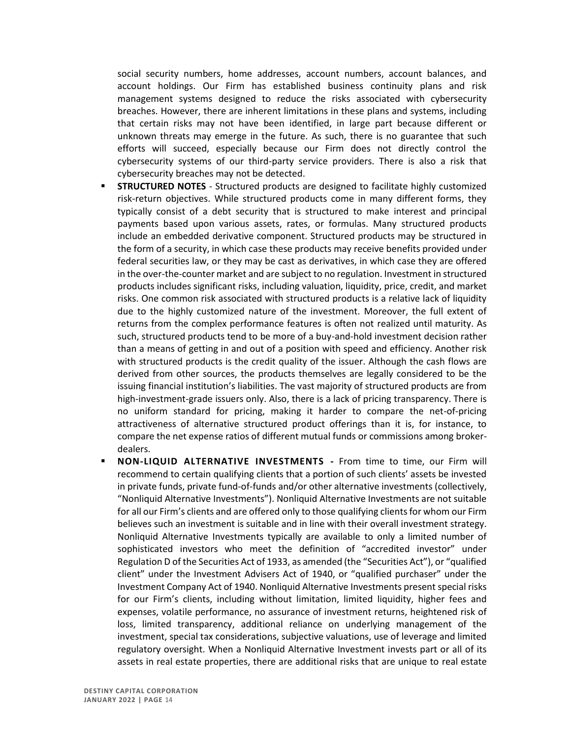social security numbers, home addresses, account numbers, account balances, and account holdings. Our Firm has established business continuity plans and risk management systems designed to reduce the risks associated with cybersecurity breaches. However, there are inherent limitations in these plans and systems, including that certain risks may not have been identified, in large part because different or unknown threats may emerge in the future. As such, there is no guarantee that such efforts will succeed, especially because our Firm does not directly control the cybersecurity systems of our third-party service providers. There is also a risk that cybersecurity breaches may not be detected.

- **STRUCTURED NOTES** Structured products are designed to facilitate highly customized risk-return objectives. While structured products come in many different forms, they typically consist of a debt security that is structured to make interest and principal payments based upon various assets, rates, or formulas. Many structured products include an embedded derivative component. Structured products may be structured in the form of a security, in which case these products may receive benefits provided under federal securities law, or they may be cast as derivatives, in which case they are offered in the over-the-counter market and are subject to no regulation. Investment in structured products includes significant risks, including valuation, liquidity, price, credit, and market risks. One common risk associated with structured products is a relative lack of liquidity due to the highly customized nature of the investment. Moreover, the full extent of returns from the complex performance features is often not realized until maturity. As such, structured products tend to be more of a buy-and-hold investment decision rather than a means of getting in and out of a position with speed and efficiency. Another risk with structured products is the credit quality of the issuer. Although the cash flows are derived from other sources, the products themselves are legally considered to be the issuing financial institution's liabilities. The vast majority of structured products are from high-investment-grade issuers only. Also, there is a lack of pricing transparency. There is no uniform standard for pricing, making it harder to compare the net-of-pricing attractiveness of alternative structured product offerings than it is, for instance, to compare the net expense ratios of different mutual funds or commissions among brokerdealers.
- **NON-LIQUID ALTERNATIVE INVESTMENTS From time to time, our Firm will** recommend to certain qualifying clients that a portion of such clients' assets be invested in private funds, private fund-of-funds and/or other alternative investments (collectively, "Nonliquid Alternative Investments"). Nonliquid Alternative Investments are not suitable for all our Firm's clients and are offered only to those qualifying clients for whom our Firm believes such an investment is suitable and in line with their overall investment strategy. Nonliquid Alternative Investments typically are available to only a limited number of sophisticated investors who meet the definition of "accredited investor" under Regulation D of the Securities Act of 1933, as amended (the "Securities Act"), or "qualified client" under the Investment Advisers Act of 1940, or "qualified purchaser" under the Investment Company Act of 1940. Nonliquid Alternative Investments present special risks for our Firm's clients, including without limitation, limited liquidity, higher fees and expenses, volatile performance, no assurance of investment returns, heightened risk of loss, limited transparency, additional reliance on underlying management of the investment, special tax considerations, subjective valuations, use of leverage and limited regulatory oversight. When a Nonliquid Alternative Investment invests part or all of its assets in real estate properties, there are additional risks that are unique to real estate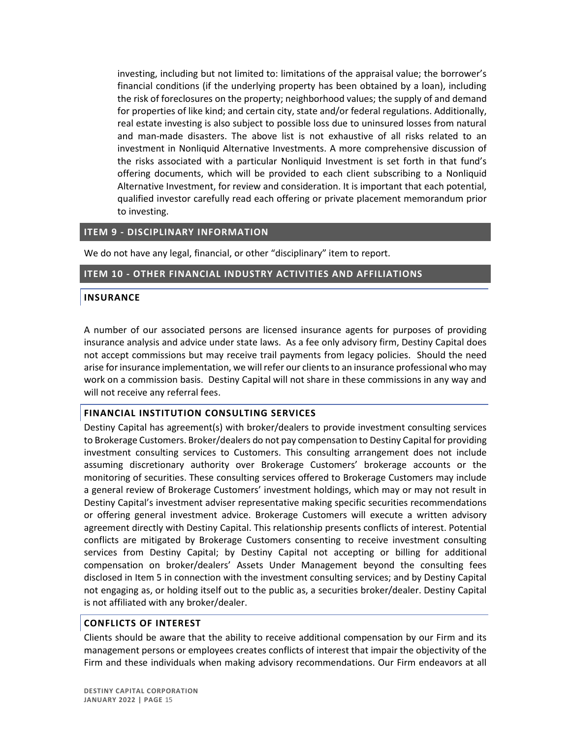investing, including but not limited to: limitations of the appraisal value; the borrower's financial conditions (if the underlying property has been obtained by a loan), including the risk of foreclosures on the property; neighborhood values; the supply of and demand for properties of like kind; and certain city, state and/or federal regulations. Additionally, real estate investing is also subject to possible loss due to uninsured losses from natural and man-made disasters. The above list is not exhaustive of all risks related to an investment in Nonliquid Alternative Investments. A more comprehensive discussion of the risks associated with a particular Nonliquid Investment is set forth in that fund's offering documents, which will be provided to each client subscribing to a Nonliquid Alternative Investment, for review and consideration. It is important that each potential, qualified investor carefully read each offering or private placement memorandum prior to investing.

#### <span id="page-15-0"></span>**ITEM 9 - DISCIPLINARY INFORMATION**

We do not have any legal, financial, or other "disciplinary" item to report.

#### <span id="page-15-1"></span>**ITEM 10 - OTHER FINANCIAL INDUSTRY ACTIVITIES AND AFFILIATIONS**

#### **INSURANCE**

A number of our associated persons are licensed insurance agents for purposes of providing insurance analysis and advice under state laws. As a fee only advisory firm, Destiny Capital does not accept commissions but may receive trail payments from legacy policies. Should the need arise for insurance implementation, we will refer our clients to an insurance professional who may work on a commission basis. Destiny Capital will not share in these commissions in any way and will not receive any referral fees.

#### **FINANCIAL INSTITUTION CONSULTING SERVICES**

Destiny Capital has agreement(s) with broker/dealers to provide investment consulting services to Brokerage Customers. Broker/dealers do not pay compensation to Destiny Capital for providing investment consulting services to Customers. This consulting arrangement does not include assuming discretionary authority over Brokerage Customers' brokerage accounts or the monitoring of securities. These consulting services offered to Brokerage Customers may include a general review of Brokerage Customers' investment holdings, which may or may not result in Destiny Capital's investment adviser representative making specific securities recommendations or offering general investment advice. Brokerage Customers will execute a written advisory agreement directly with Destiny Capital. This relationship presents conflicts of interest. Potential conflicts are mitigated by Brokerage Customers consenting to receive investment consulting services from Destiny Capital; by Destiny Capital not accepting or billing for additional compensation on broker/dealers' Assets Under Management beyond the consulting fees disclosed in Item 5 in connection with the investment consulting services; and by Destiny Capital not engaging as, or holding itself out to the public as, a securities broker/dealer. Destiny Capital is not affiliated with any broker/dealer.

#### **CONFLICTS OF INTEREST**

Clients should be aware that the ability to receive additional compensation by our Firm and its management persons or employees creates conflicts of interest that impair the objectivity of the Firm and these individuals when making advisory recommendations. Our Firm endeavors at all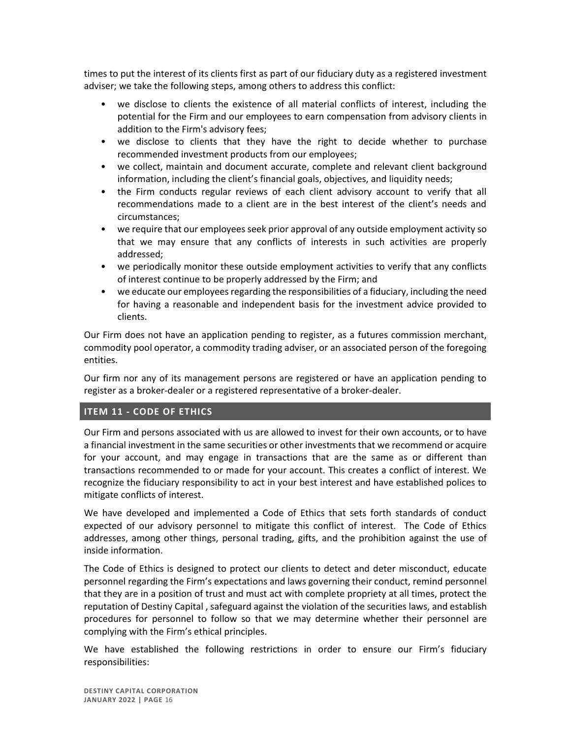times to put the interest of its clients first as part of our fiduciary duty as a registered investment adviser; we take the following steps, among others to address this conflict:

- we disclose to clients the existence of all material conflicts of interest, including the potential for the Firm and our employees to earn compensation from advisory clients in addition to the Firm's advisory fees;
- we disclose to clients that they have the right to decide whether to purchase recommended investment products from our employees;
- we collect, maintain and document accurate, complete and relevant client background information, including the client's financial goals, objectives, and liquidity needs;
- the Firm conducts regular reviews of each client advisory account to verify that all recommendations made to a client are in the best interest of the client's needs and circumstances;
- we require that our employees seek prior approval of any outside employment activity so that we may ensure that any conflicts of interests in such activities are properly addressed;
- we periodically monitor these outside employment activities to verify that any conflicts of interest continue to be properly addressed by the Firm; and
- we educate our employees regarding the responsibilities of a fiduciary, including the need for having a reasonable and independent basis for the investment advice provided to clients.

Our Firm does not have an application pending to register, as a futures commission merchant, commodity pool operator, a commodity trading adviser, or an associated person of the foregoing entities.

Our firm nor any of its management persons are registered or have an application pending to register as a broker-dealer or a registered representative of a broker-dealer.

## <span id="page-16-0"></span>**ITEM 11 - CODE OF ETHICS**

Our Firm and persons associated with us are allowed to invest for their own accounts, or to have a financial investment in the same securities or other investments that we recommend or acquire for your account, and may engage in transactions that are the same as or different than transactions recommended to or made for your account. This creates a conflict of interest. We recognize the fiduciary responsibility to act in your best interest and have established polices to mitigate conflicts of interest.

We have developed and implemented a Code of Ethics that sets forth standards of conduct expected of our advisory personnel to mitigate this conflict of interest. The Code of Ethics addresses, among other things, personal trading, gifts, and the prohibition against the use of inside information.

The Code of Ethics is designed to protect our clients to detect and deter misconduct, educate personnel regarding the Firm's expectations and laws governing their conduct, remind personnel that they are in a position of trust and must act with complete propriety at all times, protect the reputation of Destiny Capital , safeguard against the violation of the securities laws, and establish procedures for personnel to follow so that we may determine whether their personnel are complying with the Firm's ethical principles.

We have established the following restrictions in order to ensure our Firm's fiduciary responsibilities: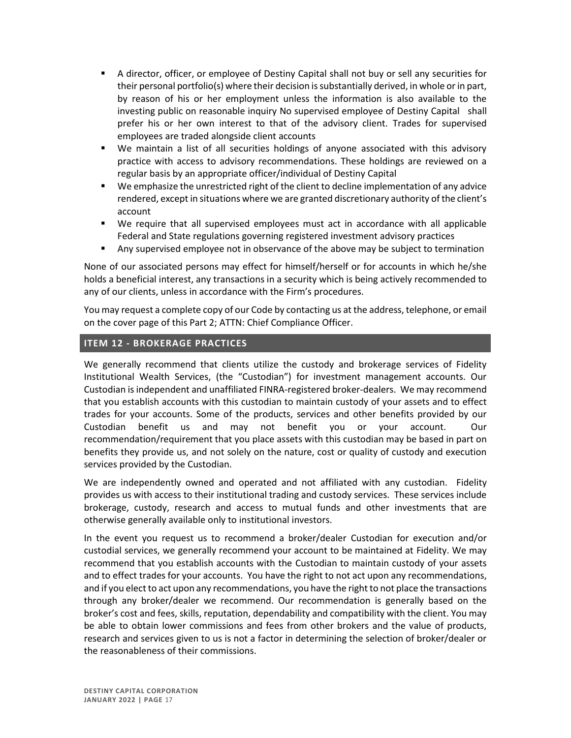- A director, officer, or employee of Destiny Capital shall not buy or sell any securities for their personal portfolio(s) where their decision is substantially derived, in whole or in part, by reason of his or her employment unless the information is also available to the investing public on reasonable inquiry No supervised employee of Destiny Capital shall prefer his or her own interest to that of the advisory client. Trades for supervised employees are traded alongside client accounts
- We maintain a list of all securities holdings of anyone associated with this advisory practice with access to advisory recommendations. These holdings are reviewed on a regular basis by an appropriate officer/individual of Destiny Capital
- We emphasize the unrestricted right of the client to decline implementation of any advice rendered, except in situations where we are granted discretionary authority of the client's account
- We require that all supervised employees must act in accordance with all applicable Federal and State regulations governing registered investment advisory practices
- Any supervised employee not in observance of the above may be subject to termination

None of our associated persons may effect for himself/herself or for accounts in which he/she holds a beneficial interest, any transactions in a security which is being actively recommended to any of our clients, unless in accordance with the Firm's procedures.

You may request a complete copy of our Code by contacting us at the address, telephone, or email on the cover page of this Part 2; ATTN: Chief Compliance Officer.

### <span id="page-17-0"></span>**ITEM 12 - BROKERAGE PRACTICES**

We generally recommend that clients utilize the custody and brokerage services of Fidelity Institutional Wealth Services, (the "Custodian") for investment management accounts. Our Custodian is independent and unaffiliated FINRA-registered broker-dealers. We may recommend that you establish accounts with this custodian to maintain custody of your assets and to effect trades for your accounts. Some of the products, services and other benefits provided by our Custodian benefit us and may not benefit you or your account. Our recommendation/requirement that you place assets with this custodian may be based in part on benefits they provide us, and not solely on the nature, cost or quality of custody and execution services provided by the Custodian.

We are independently owned and operated and not affiliated with any custodian. Fidelity provides us with access to their institutional trading and custody services. These services include brokerage, custody, research and access to mutual funds and other investments that are otherwise generally available only to institutional investors.

In the event you request us to recommend a broker/dealer Custodian for execution and/or custodial services, we generally recommend your account to be maintained at Fidelity. We may recommend that you establish accounts with the Custodian to maintain custody of your assets and to effect trades for your accounts. You have the right to not act upon any recommendations, and if you elect to act upon any recommendations, you have the right to not place the transactions through any broker/dealer we recommend. Our recommendation is generally based on the broker's cost and fees, skills, reputation, dependability and compatibility with the client. You may be able to obtain lower commissions and fees from other brokers and the value of products, research and services given to us is not a factor in determining the selection of broker/dealer or the reasonableness of their commissions.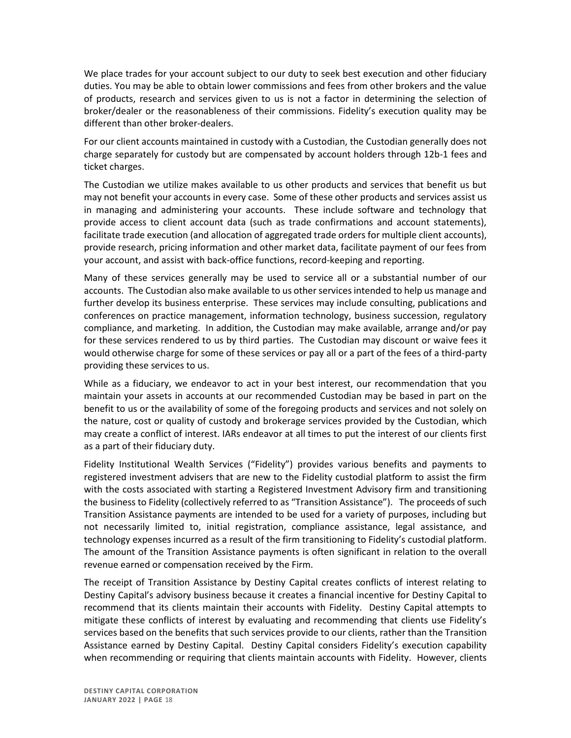We place trades for your account subject to our duty to seek best execution and other fiduciary duties. You may be able to obtain lower commissions and fees from other brokers and the value of products, research and services given to us is not a factor in determining the selection of broker/dealer or the reasonableness of their commissions. Fidelity's execution quality may be different than other broker-dealers.

For our client accounts maintained in custody with a Custodian, the Custodian generally does not charge separately for custody but are compensated by account holders through 12b-1 fees and ticket charges.

The Custodian we utilize makes available to us other products and services that benefit us but may not benefit your accounts in every case. Some of these other products and services assist us in managing and administering your accounts. These include software and technology that provide access to client account data (such as trade confirmations and account statements), facilitate trade execution (and allocation of aggregated trade orders for multiple client accounts), provide research, pricing information and other market data, facilitate payment of our fees from your account, and assist with back-office functions, record-keeping and reporting.

Many of these services generally may be used to service all or a substantial number of our accounts. The Custodian also make available to us other services intended to help us manage and further develop its business enterprise. These services may include consulting, publications and conferences on practice management, information technology, business succession, regulatory compliance, and marketing. In addition, the Custodian may make available, arrange and/or pay for these services rendered to us by third parties. The Custodian may discount or waive fees it would otherwise charge for some of these services or pay all or a part of the fees of a third-party providing these services to us.

While as a fiduciary, we endeavor to act in your best interest, our recommendation that you maintain your assets in accounts at our recommended Custodian may be based in part on the benefit to us or the availability of some of the foregoing products and services and not solely on the nature, cost or quality of custody and brokerage services provided by the Custodian, which may create a conflict of interest. IARs endeavor at all times to put the interest of our clients first as a part of their fiduciary duty.

Fidelity Institutional Wealth Services ("Fidelity") provides various benefits and payments to registered investment advisers that are new to the Fidelity custodial platform to assist the firm with the costs associated with starting a Registered Investment Advisory firm and transitioning the business to Fidelity (collectively referred to as "Transition Assistance"). The proceeds of such Transition Assistance payments are intended to be used for a variety of purposes, including but not necessarily limited to, initial registration, compliance assistance, legal assistance, and technology expenses incurred as a result of the firm transitioning to Fidelity's custodial platform. The amount of the Transition Assistance payments is often significant in relation to the overall revenue earned or compensation received by the Firm.

The receipt of Transition Assistance by Destiny Capital creates conflicts of interest relating to Destiny Capital's advisory business because it creates a financial incentive for Destiny Capital to recommend that its clients maintain their accounts with Fidelity. Destiny Capital attempts to mitigate these conflicts of interest by evaluating and recommending that clients use Fidelity's services based on the benefits that such services provide to our clients, rather than the Transition Assistance earned by Destiny Capital. Destiny Capital considers Fidelity's execution capability when recommending or requiring that clients maintain accounts with Fidelity. However, clients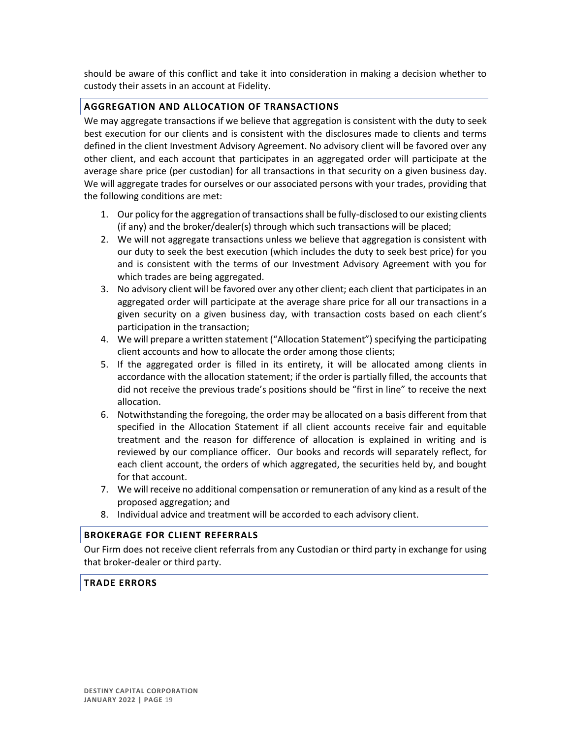should be aware of this conflict and take it into consideration in making a decision whether to custody their assets in an account at Fidelity.

## **AGGREGATION AND ALLOCATION OF TRANSACTIONS**

We may aggregate transactions if we believe that aggregation is consistent with the duty to seek best execution for our clients and is consistent with the disclosures made to clients and terms defined in the client Investment Advisory Agreement. No advisory client will be favored over any other client, and each account that participates in an aggregated order will participate at the average share price (per custodian) for all transactions in that security on a given business day. We will aggregate trades for ourselves or our associated persons with your trades, providing that the following conditions are met:

- 1. Our policy for the aggregation of transactions shall be fully-disclosed to our existing clients (if any) and the broker/dealer(s) through which such transactions will be placed;
- 2. We will not aggregate transactions unless we believe that aggregation is consistent with our duty to seek the best execution (which includes the duty to seek best price) for you and is consistent with the terms of our Investment Advisory Agreement with you for which trades are being aggregated.
- 3. No advisory client will be favored over any other client; each client that participates in an aggregated order will participate at the average share price for all our transactions in a given security on a given business day, with transaction costs based on each client's participation in the transaction;
- 4. We will prepare a written statement ("Allocation Statement") specifying the participating client accounts and how to allocate the order among those clients;
- 5. If the aggregated order is filled in its entirety, it will be allocated among clients in accordance with the allocation statement; if the order is partially filled, the accounts that did not receive the previous trade's positions should be "first in line" to receive the next allocation.
- 6. Notwithstanding the foregoing, the order may be allocated on a basis different from that specified in the Allocation Statement if all client accounts receive fair and equitable treatment and the reason for difference of allocation is explained in writing and is reviewed by our compliance officer. Our books and records will separately reflect, for each client account, the orders of which aggregated, the securities held by, and bought for that account.
- 7. We will receive no additional compensation or remuneration of any kind as a result of the proposed aggregation; and
- 8. Individual advice and treatment will be accorded to each advisory client.

### **BROKERAGE FOR CLIENT REFERRALS**

Our Firm does not receive client referrals from any Custodian or third party in exchange for using that broker-dealer or third party.

### **TRADE ERRORS**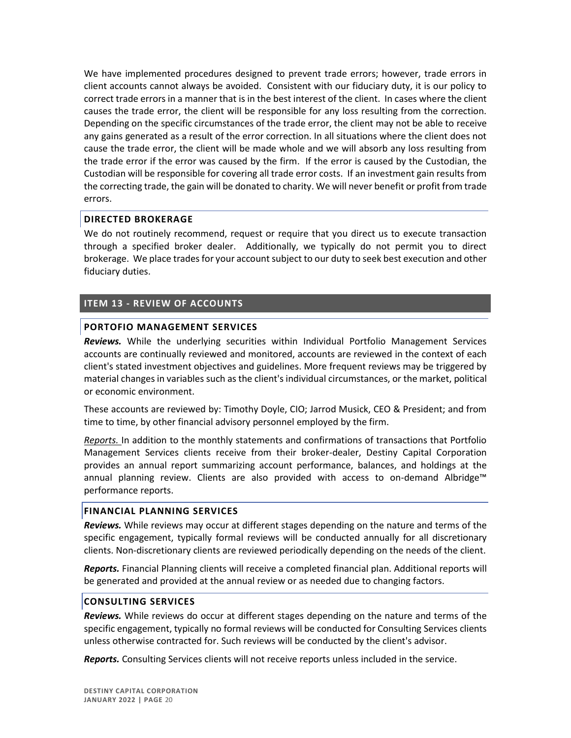We have implemented procedures designed to prevent trade errors; however, trade errors in client accounts cannot always be avoided. Consistent with our fiduciary duty, it is our policy to correct trade errors in a manner that is in the best interest of the client. In cases where the client causes the trade error, the client will be responsible for any loss resulting from the correction. Depending on the specific circumstances of the trade error, the client may not be able to receive any gains generated as a result of the error correction. In all situations where the client does not cause the trade error, the client will be made whole and we will absorb any loss resulting from the trade error if the error was caused by the firm. If the error is caused by the Custodian, the Custodian will be responsible for covering all trade error costs. If an investment gain results from the correcting trade, the gain will be donated to charity. We will never benefit or profit from trade errors.

### **DIRECTED BROKERAGE**

We do not routinely recommend, request or require that you direct us to execute transaction through a specified broker dealer. Additionally, we typically do not permit you to direct brokerage. We place trades for your account subject to our duty to seek best execution and other fiduciary duties.

### <span id="page-20-0"></span>**ITEM 13 - REVIEW OF ACCOUNTS**

#### **PORTOFIO MANAGEMENT SERVICES**

*Reviews.* While the underlying securities within Individual Portfolio Management Services accounts are continually reviewed and monitored, accounts are reviewed in the context of each client's stated investment objectives and guidelines. More frequent reviews may be triggered by material changes in variables such as the client's individual circumstances, or the market, political or economic environment.

These accounts are reviewed by: Timothy Doyle, CIO; Jarrod Musick, CEO & President; and from time to time, by other financial advisory personnel employed by the firm.

*Reports.* In addition to the monthly statements and confirmations of transactions that Portfolio Management Services clients receive from their broker-dealer, Destiny Capital Corporation provides an annual report summarizing account performance, balances, and holdings at the annual planning review. Clients are also provided with access to on-demand Albridge™ performance reports.

#### **FINANCIAL PLANNING SERVICES**

*Reviews.* While reviews may occur at different stages depending on the nature and terms of the specific engagement, typically formal reviews will be conducted annually for all discretionary clients. Non-discretionary clients are reviewed periodically depending on the needs of the client.

*Reports.* Financial Planning clients will receive a completed financial plan. Additional reports will be generated and provided at the annual review or as needed due to changing factors.

#### **CONSULTING SERVICES**

*Reviews.* While reviews do occur at different stages depending on the nature and terms of the specific engagement, typically no formal reviews will be conducted for Consulting Services clients unless otherwise contracted for. Such reviews will be conducted by the client's advisor.

*Reports.* Consulting Services clients will not receive reports unless included in the service.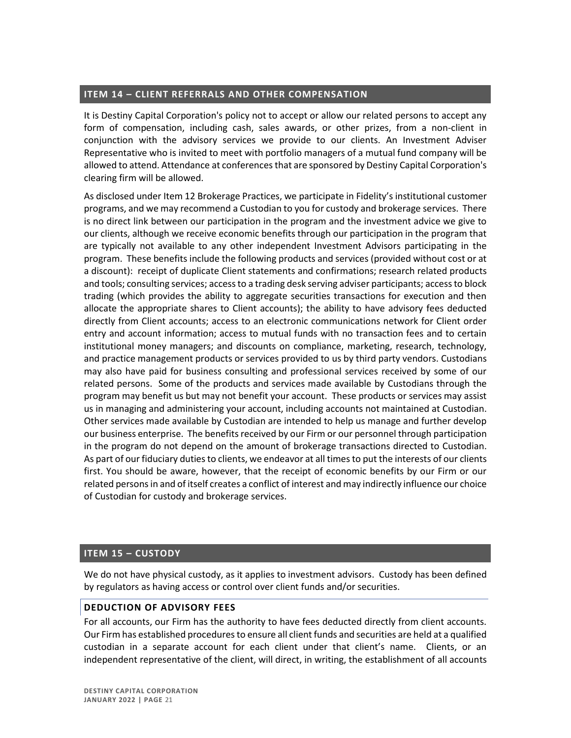## <span id="page-21-0"></span>**ITEM 14 – CLIENT REFERRALS AND OTHER COMPENSATION**

It is Destiny Capital Corporation's policy not to accept or allow our related persons to accept any form of compensation, including cash, sales awards, or other prizes, from a non-client in conjunction with the advisory services we provide to our clients. An Investment Adviser Representative who is invited to meet with portfolio managers of a mutual fund company will be allowed to attend. Attendance at conferences that are sponsored by Destiny Capital Corporation's clearing firm will be allowed.

As disclosed under Item 12 Brokerage Practices, we participate in Fidelity's institutional customer programs, and we may recommend a Custodian to you for custody and brokerage services. There is no direct link between our participation in the program and the investment advice we give to our clients, although we receive economic benefits through our participation in the program that are typically not available to any other independent Investment Advisors participating in the program. These benefits include the following products and services (provided without cost or at a discount): receipt of duplicate Client statements and confirmations; research related products and tools; consulting services; access to a trading desk serving adviser participants; access to block trading (which provides the ability to aggregate securities transactions for execution and then allocate the appropriate shares to Client accounts); the ability to have advisory fees deducted directly from Client accounts; access to an electronic communications network for Client order entry and account information; access to mutual funds with no transaction fees and to certain institutional money managers; and discounts on compliance, marketing, research, technology, and practice management products or services provided to us by third party vendors. Custodians may also have paid for business consulting and professional services received by some of our related persons. Some of the products and services made available by Custodians through the program may benefit us but may not benefit your account. These products or services may assist us in managing and administering your account, including accounts not maintained at Custodian. Other services made available by Custodian are intended to help us manage and further develop our business enterprise. The benefits received by our Firm or our personnel through participation in the program do not depend on the amount of brokerage transactions directed to Custodian. As part of our fiduciary duties to clients, we endeavor at all times to put the interests of our clients first. You should be aware, however, that the receipt of economic benefits by our Firm or our related persons in and of itself creates a conflict of interest and may indirectly influence our choice of Custodian for custody and brokerage services.

### <span id="page-21-1"></span>**ITEM 15 – CUSTODY**

We do not have physical custody, as it applies to investment advisors. Custody has been defined by regulators as having access or control over client funds and/or securities.

### **DEDUCTION OF ADVISORY FEES**

For all accounts, our Firm has the authority to have fees deducted directly from client accounts. Our Firm has established procedures to ensure all client funds and securities are held at a qualified custodian in a separate account for each client under that client's name. Clients, or an independent representative of the client, will direct, in writing, the establishment of all accounts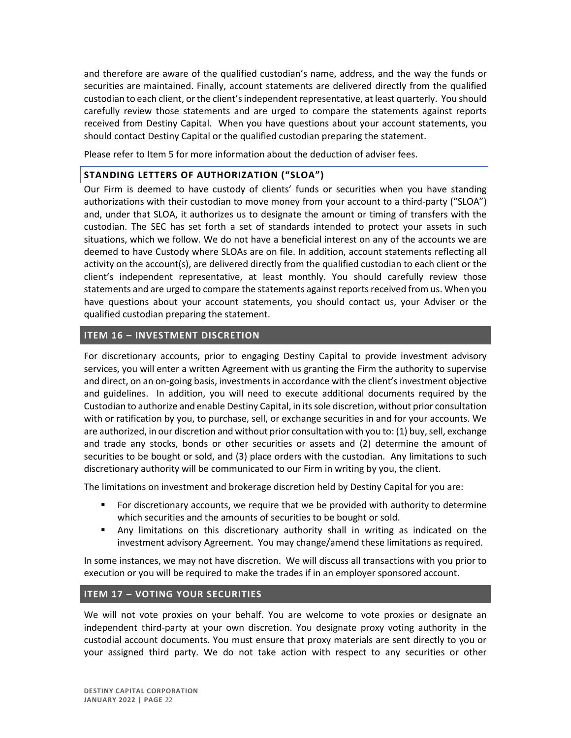and therefore are aware of the qualified custodian's name, address, and the way the funds or securities are maintained. Finally, account statements are delivered directly from the qualified custodian to each client, or the client's independent representative, at least quarterly. You should carefully review those statements and are urged to compare the statements against reports received from Destiny Capital. When you have questions about your account statements, you should contact Destiny Capital or the qualified custodian preparing the statement.

Please refer to Item 5 for more information about the deduction of adviser fees.

## **STANDING LETTERS OF AUTHORIZATION ("SLOA")**

Our Firm is deemed to have custody of clients' funds or securities when you have standing authorizations with their custodian to move money from your account to a third-party ("SLOA") and, under that SLOA, it authorizes us to designate the amount or timing of transfers with the custodian. The SEC has set forth a set of standards intended to protect your assets in such situations, which we follow. We do not have a beneficial interest on any of the accounts we are deemed to have Custody where SLOAs are on file. In addition, account statements reflecting all activity on the account(s), are delivered directly from the qualified custodian to each client or the client's independent representative, at least monthly. You should carefully review those statements and are urged to compare the statements against reports received from us. When you have questions about your account statements, you should contact us, your Adviser or the qualified custodian preparing the statement.

# <span id="page-22-0"></span>**ITEM 16 – INVESTMENT DISCRETION**

For discretionary accounts, prior to engaging Destiny Capital to provide investment advisory services, you will enter a written Agreement with us granting the Firm the authority to supervise and direct, on an on-going basis, investments in accordance with the client's investment objective and guidelines. In addition, you will need to execute additional documents required by the Custodian to authorize and enable Destiny Capital, in its sole discretion, without prior consultation with or ratification by you, to purchase, sell, or exchange securities in and for your accounts. We are authorized, in our discretion and without prior consultation with you to: (1) buy, sell, exchange and trade any stocks, bonds or other securities or assets and (2) determine the amount of securities to be bought or sold, and (3) place orders with the custodian. Any limitations to such discretionary authority will be communicated to our Firm in writing by you, the client.

The limitations on investment and brokerage discretion held by Destiny Capital for you are:

- For discretionary accounts, we require that we be provided with authority to determine which securities and the amounts of securities to be bought or sold.
- **•** Any limitations on this discretionary authority shall in writing as indicated on the investment advisory Agreement. You may change/amend these limitations as required.

In some instances, we may not have discretion. We will discuss all transactions with you prior to execution or you will be required to make the trades if in an employer sponsored account.

# <span id="page-22-1"></span>**ITEM 17 – VOTING YOUR SECURITIES**

We will not vote proxies on your behalf. You are welcome to vote proxies or designate an independent third-party at your own discretion. You designate proxy voting authority in the custodial account documents. You must ensure that proxy materials are sent directly to you or your assigned third party. We do not take action with respect to any securities or other